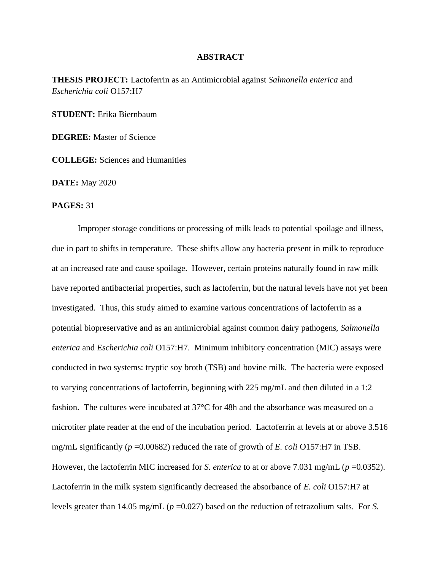## **ABSTRACT**

**THESIS PROJECT:** Lactoferrin as an Antimicrobial against *Salmonella enterica* and *Escherichia coli* O157:H7

**STUDENT:** Erika Biernbaum

**DEGREE:** Master of Science

**COLLEGE:** Sciences and Humanities

**DATE:** May 2020

**PAGES:** 31

Improper storage conditions or processing of milk leads to potential spoilage and illness, due in part to shifts in temperature. These shifts allow any bacteria present in milk to reproduce at an increased rate and cause spoilage. However, certain proteins naturally found in raw milk have reported antibacterial properties, such as lactoferrin, but the natural levels have not yet been investigated. Thus, this study aimed to examine various concentrations of lactoferrin as a potential biopreservative and as an antimicrobial against common dairy pathogens, *Salmonella enterica* and *Escherichia coli* O157:H7. Minimum inhibitory concentration (MIC) assays were conducted in two systems: tryptic soy broth (TSB) and bovine milk. The bacteria were exposed to varying concentrations of lactoferrin, beginning with 225 mg/mL and then diluted in a 1:2 fashion. The cultures were incubated at 37°C for 48h and the absorbance was measured on a microtiter plate reader at the end of the incubation period. Lactoferrin at levels at or above 3.516 mg/mL significantly (*p* =0.00682) reduced the rate of growth of *E. coli* O157:H7 in TSB. However, the lactoferrin MIC increased for *S. enterica* to at or above 7.031 mg/mL ( $p = 0.0352$ ). Lactoferrin in the milk system significantly decreased the absorbance of *E. coli* O157:H7 at levels greater than 14.05 mg/mL (*p* =0.027) based on the reduction of tetrazolium salts. For *S.*